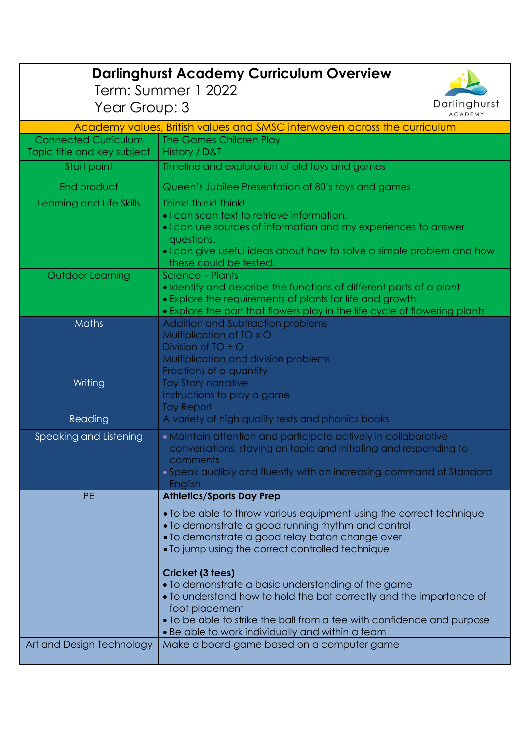| <b>Darlinghurst Academy Curriculum Overview</b>                          |                                                                                                                                                                                                                                                                                               |  |
|--------------------------------------------------------------------------|-----------------------------------------------------------------------------------------------------------------------------------------------------------------------------------------------------------------------------------------------------------------------------------------------|--|
| Term: Summer 1 2022                                                      |                                                                                                                                                                                                                                                                                               |  |
| Darlinghurst<br>Year Group: 3<br><b>ACADEMY</b>                          |                                                                                                                                                                                                                                                                                               |  |
| Academy values, British values and SMSC interwoven across the curriculum |                                                                                                                                                                                                                                                                                               |  |
| <b>Connected Curriculum</b><br>Topic title and key subject               | The Games Children Play<br>History / D&T                                                                                                                                                                                                                                                      |  |
| Start point                                                              | Timeline and exploration of old toys and games                                                                                                                                                                                                                                                |  |
| End product                                                              | Queen's Jubilee Presentation of 80's toys and games                                                                                                                                                                                                                                           |  |
| Learning and Life Skills                                                 | Think! Think! Think!<br>• I can scan text to retrieve information.<br>• I can use sources of information and my experiences to answer<br>questions.<br>. I can give useful ideas about how to solve a simple problem and how<br>these could be tested.                                        |  |
| <b>Outdoor Learning</b>                                                  | Science - Plants<br>. Identify and describe the functions of different parts of a plant<br>• Explore the requirements of plants for life and growth<br>• Explore the part that flowers play in the life cycle of flowering plants                                                             |  |
| Maths                                                                    | Addition and Subtraction problems<br>Multiplication of TO x O<br>Division of $TO \div O$<br>Multiplication and division problems<br>Fractions of a quantity                                                                                                                                   |  |
| Writing                                                                  | <b>Toy Story narrative</b><br>Instructions to play a game<br><b>Toy Report</b>                                                                                                                                                                                                                |  |
| Reading                                                                  | A variety of high quality texts and phonics books                                                                                                                                                                                                                                             |  |
| Speaking and Listening                                                   | • Maintain attention and participate actively in collaborative<br>conversations, staying on topic and initiating and responding to<br>comments<br>. Speak audibly and fluently with an increasing command of Standard<br><b>English</b>                                                       |  |
| <b>PE</b>                                                                | <b>Athletics/Sports Day Prep</b>                                                                                                                                                                                                                                                              |  |
|                                                                          | • To be able to throw various equipment using the correct technique<br>• To demonstrate a good running rhythm and control<br>• To demonstrate a good relay baton change over<br>• To jump using the correct controlled technique                                                              |  |
|                                                                          | Cricket (3 tees)<br>• To demonstrate a basic understanding of the game<br>• To understand how to hold the bat correctly and the importance of<br>foot placement<br>• To be able to strike the ball from a tee with confidence and purpose<br>• Be able to work individually and within a team |  |
| Art and Design Technology                                                | Make a board game based on a computer game                                                                                                                                                                                                                                                    |  |